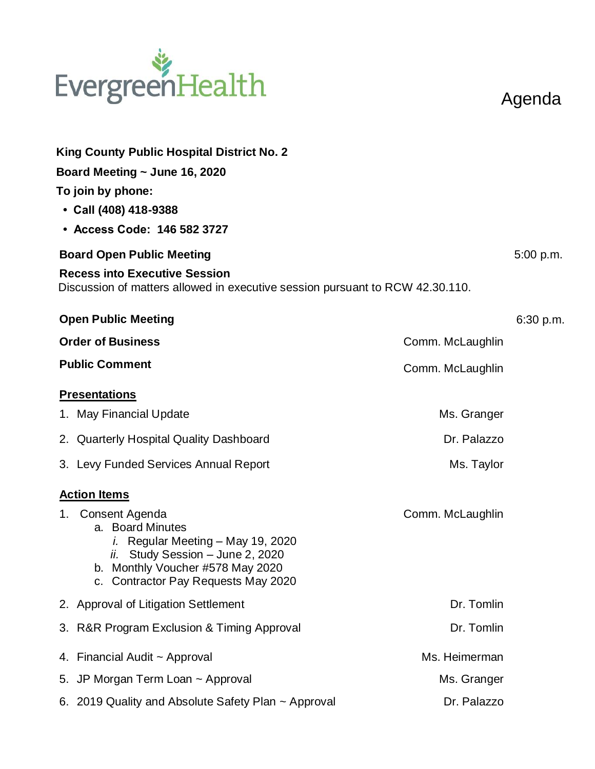## EvergreenHealth

Agenda

| <b>King County Public Hospital District No. 2</b>                                                                                                                                                |                  |           |  |
|--------------------------------------------------------------------------------------------------------------------------------------------------------------------------------------------------|------------------|-----------|--|
| Board Meeting $\sim$ June 16, 2020                                                                                                                                                               |                  |           |  |
| To join by phone:<br>• Call (408) 418-9388                                                                                                                                                       |                  |           |  |
| • Access Code: 146 582 3727                                                                                                                                                                      |                  |           |  |
| <b>Board Open Public Meeting</b>                                                                                                                                                                 |                  |           |  |
| <b>Recess into Executive Session</b><br>Discussion of matters allowed in executive session pursuant to RCW 42.30.110.                                                                            |                  |           |  |
| <b>Open Public Meeting</b>                                                                                                                                                                       |                  | 6:30 p.m. |  |
| <b>Order of Business</b><br>Comm. McLaughlin                                                                                                                                                     |                  |           |  |
| <b>Public Comment</b>                                                                                                                                                                            | Comm. McLaughlin |           |  |
| <b>Presentations</b>                                                                                                                                                                             |                  |           |  |
| 1. May Financial Update                                                                                                                                                                          | Ms. Granger      |           |  |
| 2. Quarterly Hospital Quality Dashboard                                                                                                                                                          | Dr. Palazzo      |           |  |
| 3. Levy Funded Services Annual Report                                                                                                                                                            | Ms. Taylor       |           |  |
| <b>Action Items</b>                                                                                                                                                                              |                  |           |  |
| 1. Consent Agenda<br>a. Board Minutes<br><i>i.</i> Regular Meeting - May 19, 2020<br>ii. Study Session - June 2, 2020<br>b. Monthly Voucher #578 May 2020<br>c. Contractor Pay Requests May 2020 | Comm. McLaughlin |           |  |
| 2. Approval of Litigation Settlement                                                                                                                                                             | Dr. Tomlin       |           |  |
| 3. R&R Program Exclusion & Timing Approval                                                                                                                                                       | Dr. Tomlin       |           |  |
| 4. Financial Audit ~ Approval                                                                                                                                                                    | Ms. Heimerman    |           |  |
| 5. JP Morgan Term Loan ~ Approval                                                                                                                                                                | Ms. Granger      |           |  |
| 6. 2019 Quality and Absolute Safety Plan ~ Approval                                                                                                                                              | Dr. Palazzo      |           |  |